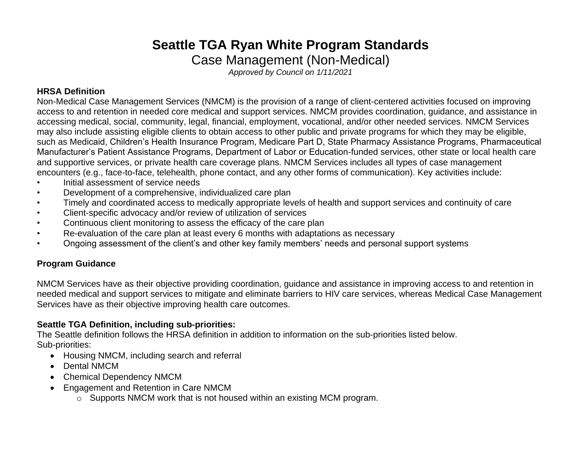# **Seattle TGA Ryan White Program Standards**

Case Management (Non-Medical)

*Approved by Council on 1/11/2021*

### **HRSA Definition**

Non-Medical Case Management Services (NMCM) is the provision of a range of client-centered activities focused on improving access to and retention in needed core medical and support services. NMCM provides coordination, guidance, and assistance in accessing medical, social, community, legal, financial, employment, vocational, and/or other needed services. NMCM Services may also include assisting eligible clients to obtain access to other public and private programs for which they may be eligible, such as Medicaid, Children's Health Insurance Program, Medicare Part D, State Pharmacy Assistance Programs, Pharmaceutical Manufacturer's Patient Assistance Programs, Department of Labor or Education-funded services, other state or local health care and supportive services, or private health care coverage plans. NMCM Services includes all types of case management encounters (e.g., face-to-face, telehealth, phone contact, and any other forms of communication). Key activities include:

- Initial assessment of service needs
- Development of a comprehensive, individualized care plan
- Timely and coordinated access to medically appropriate levels of health and support services and continuity of care
- Client-specific advocacy and/or review of utilization of services
- Continuous client monitoring to assess the efficacy of the care plan
- Re-evaluation of the care plan at least every 6 months with adaptations as necessary
- Ongoing assessment of the client's and other key family members' needs and personal support systems

# **Program Guidance**

NMCM Services have as their objective providing coordination, guidance and assistance in improving access to and retention in needed medical and support services to mitigate and eliminate barriers to HIV care services, whereas Medical Case Management Services have as their objective improving health care outcomes.

# **Seattle TGA Definition, including sub-priorities:**

The Seattle definition follows the HRSA definition in addition to information on the sub-priorities listed below. Sub-priorities:

- Housing NMCM, including search and referral
- Dental NMCM
- Chemical Dependency NMCM
- Engagement and Retention in Care NMCM
	- o Supports NMCM work that is not housed within an existing MCM program.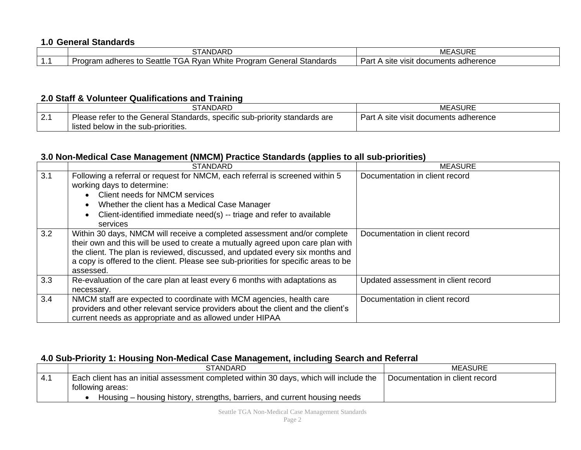### **1.0 General Standards**

|   | ~<br><b>ANDARL</b>                                                                                                  | ASURE<br><b>MEA</b>                                            |
|---|---------------------------------------------------------------------------------------------------------------------|----------------------------------------------------------------|
| . | <b>White</b><br>Seattle<br>ndards<br>ıeral<br>∍adheres<br>P<br>odram<br>R∨ai<br>ົ<br>oar<br>ю<br>マンド<br>Sid'<br>ारत | <br>ימ<br>adherence<br>site<br>VISIt<br>. docum<br>nents<br>αı |

#### **2.0 Staff & Volunteer Qualifications and Training**

|     | STANDARD                                                                                                          | <b>MEASURE</b>                        |
|-----|-------------------------------------------------------------------------------------------------------------------|---------------------------------------|
| 2.1 | Please refer to the General Standards, specific sub-priority standards are<br>listed below in the sub-priorities. | Part A site visit documents adherence |

#### **3.0 Non-Medical Case Management (NMCM) Practice Standards (applies to all sub-priorities)**

|     | <b>STANDARD</b>                                                                                                                                                                                                                                                                                                                                  | <b>MEASURE</b>                      |
|-----|--------------------------------------------------------------------------------------------------------------------------------------------------------------------------------------------------------------------------------------------------------------------------------------------------------------------------------------------------|-------------------------------------|
| 3.1 | Following a referral or request for NMCM, each referral is screened within 5<br>working days to determine:<br>Client needs for NMCM services<br>Whether the client has a Medical Case Manager<br>Client-identified immediate need(s) -- triage and refer to available<br>services                                                                | Documentation in client record      |
| 3.2 | Within 30 days, NMCM will receive a completed assessment and/or complete<br>their own and this will be used to create a mutually agreed upon care plan with<br>the client. The plan is reviewed, discussed, and updated every six months and<br>a copy is offered to the client. Please see sub-priorities for specific areas to be<br>assessed. | Documentation in client record      |
| 3.3 | Re-evaluation of the care plan at least every 6 months with adaptations as<br>necessary.                                                                                                                                                                                                                                                         | Updated assessment in client record |
| 3.4 | NMCM staff are expected to coordinate with MCM agencies, health care<br>providers and other relevant service providers about the client and the client's<br>current needs as appropriate and as allowed under HIPAA                                                                                                                              | Documentation in client record      |

# **4.0 Sub-Priority 1: Housing Non-Medical Case Management, including Search and Referral**

| <b>STANDARD</b>                                                                        | MEASURE                        |
|----------------------------------------------------------------------------------------|--------------------------------|
| Each client has an initial assessment completed within 30 days, which will include the | Documentation in client record |
| following areas:                                                                       |                                |
| Housing – housing history, strengths, barriers, and current housing needs              |                                |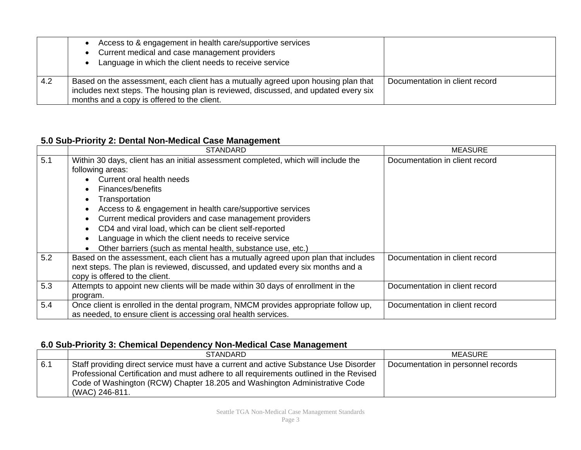|     | Access to & engagement in health care/supportive services<br>Current medical and case management providers<br>Language in which the client needs to receive service                                                     |                                |
|-----|-------------------------------------------------------------------------------------------------------------------------------------------------------------------------------------------------------------------------|--------------------------------|
| 4.2 | Based on the assessment, each client has a mutually agreed upon housing plan that<br>includes next steps. The housing plan is reviewed, discussed, and updated every six<br>months and a copy is offered to the client. | Documentation in client record |

## **5.0 Sub-Priority 2: Dental Non-Medical Case Management**

|     | <b>STANDARD</b>                                                                                                                                                                                                                                                                                                                                                                                                      | <b>MEASURE</b>                 |
|-----|----------------------------------------------------------------------------------------------------------------------------------------------------------------------------------------------------------------------------------------------------------------------------------------------------------------------------------------------------------------------------------------------------------------------|--------------------------------|
| 5.1 | Within 30 days, client has an initial assessment completed, which will include the<br>following areas:<br>Current oral health needs<br>Finances/benefits<br>Transportation<br>Access to & engagement in health care/supportive services<br>Current medical providers and case management providers<br>CD4 and viral load, which can be client self-reported<br>Language in which the client needs to receive service | Documentation in client record |
|     | Other barriers (such as mental health, substance use, etc.)                                                                                                                                                                                                                                                                                                                                                          |                                |
| 5.2 | Based on the assessment, each client has a mutually agreed upon plan that includes<br>next steps. The plan is reviewed, discussed, and updated every six months and a<br>copy is offered to the client.                                                                                                                                                                                                              | Documentation in client record |
| 5.3 | Attempts to appoint new clients will be made within 30 days of enrollment in the<br>program.                                                                                                                                                                                                                                                                                                                         | Documentation in client record |
| 5.4 | Once client is enrolled in the dental program, NMCM provides appropriate follow up,<br>as needed, to ensure client is accessing oral health services.                                                                                                                                                                                                                                                                | Documentation in client record |

### **6.0 Sub-Priority 3: Chemical Dependency Non-Medical Case Management**

|     | <b>STANDARD</b>                                                                                                                                                                                                                                                                | <b>MEASURE</b>                     |
|-----|--------------------------------------------------------------------------------------------------------------------------------------------------------------------------------------------------------------------------------------------------------------------------------|------------------------------------|
| 6.1 | Staff providing direct service must have a current and active Substance Use Disorder<br>Professional Certification and must adhere to all requirements outlined in the Revised<br>Code of Washington (RCW) Chapter 18.205 and Washington Administrative Code<br>(WAC) 246-811. | Documentation in personnel records |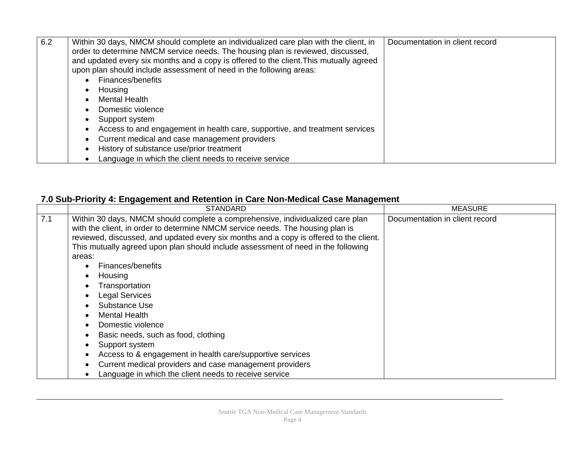| 6.2 | Within 30 days, NMCM should complete an individualized care plan with the client, in<br>order to determine NMCM service needs. The housing plan is reviewed, discussed,<br>and updated every six months and a copy is offered to the client. This mutually agreed<br>upon plan should include assessment of need in the following areas: | Documentation in client record |
|-----|------------------------------------------------------------------------------------------------------------------------------------------------------------------------------------------------------------------------------------------------------------------------------------------------------------------------------------------|--------------------------------|
|     | Finances/benefits                                                                                                                                                                                                                                                                                                                        |                                |
|     | Housing                                                                                                                                                                                                                                                                                                                                  |                                |
|     | <b>Mental Health</b>                                                                                                                                                                                                                                                                                                                     |                                |
|     | Domestic violence                                                                                                                                                                                                                                                                                                                        |                                |
|     | Support system                                                                                                                                                                                                                                                                                                                           |                                |
|     | Access to and engagement in health care, supportive, and treatment services                                                                                                                                                                                                                                                              |                                |
|     | Current medical and case management providers<br>$\bullet$                                                                                                                                                                                                                                                                               |                                |
|     | History of substance use/prior treatment                                                                                                                                                                                                                                                                                                 |                                |
|     | Language in which the client needs to receive service                                                                                                                                                                                                                                                                                    |                                |

# **7.0 Sub-Priority 4: Engagement and Retention in Care Non-Medical Case Management**

|     | STANDARD                                                                                                                                                                                                                                                                                                                                                                                                                                                                                                                                                                                                                                                                                                                                     | <b>MEASURE</b>                 |
|-----|----------------------------------------------------------------------------------------------------------------------------------------------------------------------------------------------------------------------------------------------------------------------------------------------------------------------------------------------------------------------------------------------------------------------------------------------------------------------------------------------------------------------------------------------------------------------------------------------------------------------------------------------------------------------------------------------------------------------------------------------|--------------------------------|
| 7.1 | Within 30 days, NMCM should complete a comprehensive, individualized care plan<br>with the client, in order to determine NMCM service needs. The housing plan is<br>reviewed, discussed, and updated every six months and a copy is offered to the client.<br>This mutually agreed upon plan should include assessment of need in the following<br>areas:<br>Finances/benefits<br>Housing<br>Transportation<br><b>Legal Services</b><br>Substance Use<br><b>Mental Health</b><br>Domestic violence<br>Basic needs, such as food, clothing<br>Support system<br>Access to & engagement in health care/supportive services<br>Current medical providers and case management providers<br>Language in which the client needs to receive service | Documentation in client record |
|     |                                                                                                                                                                                                                                                                                                                                                                                                                                                                                                                                                                                                                                                                                                                                              |                                |